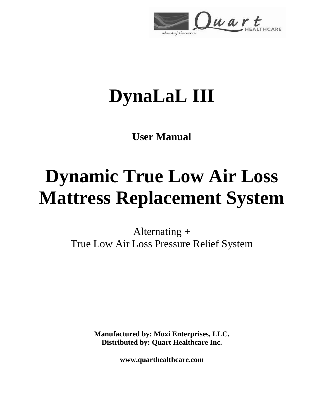

# **DynaLaL III**

**User Manual**

# **Dynamic True Low Air Loss Mattress Replacement System**

Alternating + True Low Air Loss Pressure Relief System

> **Manufactured by: Moxi Enterprises, LLC. Distributed by: Quart Healthcare Inc.**

> > **www.quarthealthcare.com**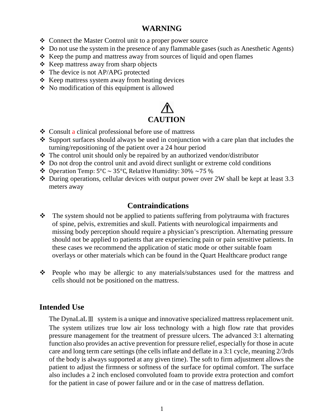# **WARNING**

- Connect the Master Control unit to a proper power source
- $\triangle$  Do not use the system in the presence of any flammable gases (such as Anesthetic Agents)
- $\triangle$  Keep the pump and mattress away from sources of liquid and open flames
- $\triangle$  Keep mattress away from sharp objects
- The device is not AP/APG protected
- $\triangle$  Keep mattress system away from heating devices
- No modification of this equipment is allowed

# **CAUTION**

- Consult a clinical professional before use of mattress
- $\cdot$  Support surfaces should always be used in conjunction with a care plan that includes the turning/repositioning of the patient over a 24 hour period
- The control unit should only be repaired by an authorized vendor/distributor
- Do not drop the control unit and avoid direct sunlight or extreme cold conditions
- $\bullet$  Operation Temp: 5°C ~ 35°C, Relative Humidity: 30% ~75 %
- During operations, cellular devices with output power over 2W shall be kept at least 3.3 meters away

# **Contraindications**

- The system should not be applied to patients suffering from polytrauma with fractures of spine, pelvis, extremities and skull. Patients with neurological impairments and missing body perception should require a physician's prescription. Alternating pressure should not be applied to patients that are experiencing pain or pain sensitive patients. In these cases we recommend the application of static mode or other suitable foam overlays or other materials which can be found in the Quart Healthcare product range
- People who may be allergic to any materials/substances used for the mattress and cells should not be positioned on the mattress.

# **Intended Use**

The DynaLaLⅢ system is a unique and innovative specialized mattress replacement unit. The system utilizes true low air loss technology with a high flow rate that provides pressure management for the treatment of pressure ulcers. The advanced 3:1 alternating function also provides an active prevention for pressure relief, especially for those in acute care and long term care settings (the cells inflate and deflate in a 3:1 cycle, meaning 2/3rds of the body is always supported at any given time). The soft to firm adjustment allows the patient to adjust the firmness or softness of the surface for optimal comfort. The surface also includes a 2 inch enclosed convoluted foam to provide extra protection and comfort for the patient in case of power failure and or in the case of mattress deflation.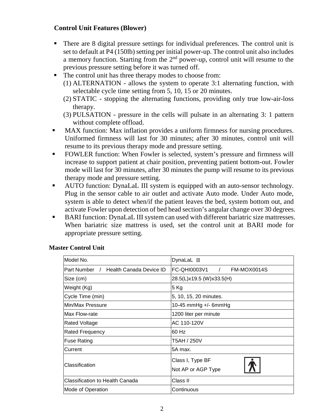#### **Control Unit Features (Blower)**

- There are 8 digital pressure settings for individual preferences. The control unit is set to default at P4 (150lb) setting per initial power-up. The control unit also includes a memory function. Starting from the  $2<sup>nd</sup>$  power-up, control unit will resume to the previous pressure setting before it was turned off.
- The control unit has three therapy modes to choose from:
	- (1) ALTERNATION allows the system to operate 3:1 alternating function, with selectable cycle time setting from 5, 10, 15 or 20 minutes.
	- (2) STATIC stopping the alternating functions, providing only true low-air-loss therapy.
	- (3) PULSATION pressure in the cells will pulsate in an alternating 3: 1 pattern without complete offload.
- MAX function: Max inflation provides a uniform firmness for nursing procedures. Uniformed firmness will last for 30 minutes; after 30 minutes, control unit will resume to its previous therapy mode and pressure setting.
- **FOWLER** function: When Fowler is selected, system's pressure and firmness will increase to support patient at chair position, preventing patient bottom-out. Fowler mode will last for 30 minutes, after 30 minutes the pump will resume to its previous therapy mode and pressure setting.
- AUTO function: DynaLaL III system is equipped with an auto-sensor technology. Plug in the sensor cable to air outlet and activate Auto mode. Under Auto mode, system is able to detect when/if the patient leaves the bed, system bottom out, and activate Fowler upon detection of bed head section's angular change over 30 degrees.
- BARI function: DynaLaL III system can used with different bariatric size mattresses. When bariatric size mattress is used, set the control unit at BARI mode for appropriate pressure setting.

| Model No.                             | DynaLaL III                   |  |  |  |
|---------------------------------------|-------------------------------|--|--|--|
| Part Number / Health Canada Device ID | FC-QHI0003V1 /<br>FM-MOX0014S |  |  |  |
| Size (cm)                             | 28.5(L)x19.5 (W)x33.5(H)      |  |  |  |
| Weight (Kg)                           | 5 Kg                          |  |  |  |
| Cycle Time (min)                      | 5, 10, 15, 20 minutes.        |  |  |  |
| Min/Max Pressure                      | 10-45 mmHg $+/-$ 6mmHg        |  |  |  |
| lMax Flow-rate                        | 1200 liter per minute         |  |  |  |
| <b>Rated Voltage</b>                  | AC 110-120V                   |  |  |  |
| <b>Rated Frequency</b>                | 60 Hz                         |  |  |  |
| <b>Fuse Rating</b>                    | T5AH / 250V                   |  |  |  |
| Current                               | 5A max.                       |  |  |  |
| Classification                        | Class I, Type BF              |  |  |  |
|                                       | Not AP or AGP Type            |  |  |  |
| Classification to Health Canada       | Class II                      |  |  |  |
| <b>Mode of Operation</b>              | Continuous                    |  |  |  |

#### **Master Control Unit**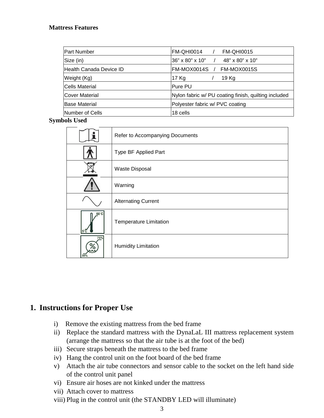#### **Mattress Features**

| Part Number             | FM-QHI0014<br><b>FM-QHI0015</b>                      |
|-------------------------|------------------------------------------------------|
| Size (in)               | 36" x 80" x 10"<br>48" x 80" x 10"                   |
| Health Canada Device ID | FM-MOX0015S<br>IFM-MOX0014S                          |
| Weight (Kg)             | 17 Kg<br>19 Kg                                       |
| Cells Material          | lPure PU                                             |
| <b>Cover Material</b>   | Nylon fabric w/ PU coating finish, quilting included |
| <b>Base Material</b>    | Polyester fabric w/ PVC coating                      |
| Number of Cells         | 18 cells                                             |

#### **Symbols Used**

|                       | Refer to Accompanying Documents |  |  |
|-----------------------|---------------------------------|--|--|
|                       | Type BF Applied Part            |  |  |
|                       | Waste Disposal                  |  |  |
|                       | Warning                         |  |  |
|                       | <b>Alternating Current</b>      |  |  |
| 60°C<br>$5^{\circ}$ C | <b>Temperature Limitation</b>   |  |  |
| 75%<br>30%            | <b>Humidity Limitation</b>      |  |  |

### **1. Instructions for Proper Use**

- i) Remove the existing mattress from the bed frame
- ii) Replace the standard mattress with the DynaLaL III mattress replacement system (arrange the mattress so that the air tube is at the foot of the bed)
- iii) Secure straps beneath the mattress to the bed frame
- iv) Hang the control unit on the foot board of the bed frame
- v) Attach the air tube connectors and sensor cable to the socket on the left hand side of the control unit panel
- vi) Ensure air hoses are not kinked under the mattress
- vii) Attach cover to mattress
- viii) Plug in the control unit (the STANDBY LED will illuminate)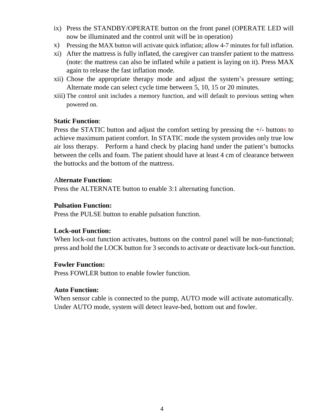- ix) Press the STANDBY/OPERATE button on the front panel (OPERATE LED will now be illuminated and the control unit will be in operation)
- x) Pressing the MAX button will activate quick inflation; allow 4-7 minutes for full inflation.
- xi) After the mattress is fully inflated, the caregiver can transfer patient to the mattress (note: the mattress can also be inflated while a patient is laying on it). Press MAX again to release the fast inflation mode.
- xii) Chose the appropriate therapy mode and adjust the system's pressure setting; Alternate mode can select cycle time between 5, 10, 15 or 20 minutes.
- xiii) The control unit includes a memory function, and will default to previous setting when powered on.

#### **Static Function**:

Press the STATIC button and adjust the comfort setting by pressing the +/- buttons to achieve maximum patient comfort. In STATIC mode the system provides only true low air loss therapy. Perform a hand check by placing hand under the patient's buttocks between the cells and foam. The patient should have at least 4 cm of clearance between the buttocks and the bottom of the mattress.

#### A**lternate Function:**

Press the ALTERNATE button to enable 3:1 alternating function.

#### **Pulsation Function:**

Press the PULSE button to enable pulsation function.

#### **Lock-out Function:**

 When lock-out function activates, buttons on the control panel will be non-functional; press and hold the LOCK button for 3 seconds to activate or deactivate lock-out function.

#### **Fowler Function:**

Press FOWLER button to enable fowler function.

#### **Auto Function:**

 When sensor cable is connected to the pump, AUTO mode will activate automatically. Under AUTO mode, system will detect leave-bed, bottom out and fowler.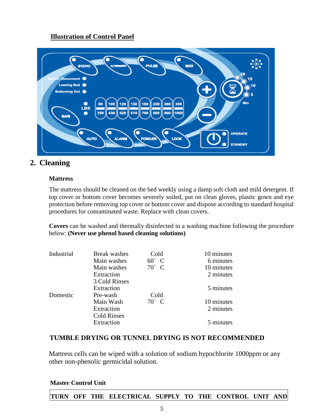### **Illustration of Control Panel**



## **2. Cleaning**

#### **Mattress**

The mattress should be cleaned on the bed weekly using a damp soft cloth and mild detergent. If top cover or bottom cover becomes severely soiled, put on clean gloves, plastic gown and eye protection before removing top cover or bottom cover and dispose according to standard hospital procedures for contaminated waste. Replace with clean covers.

**Covers** can be washed and thermally disinfected in a washing machine following the procedure below: **(Never use phenol based cleaning solutions)**

| Industrial | <b>Break</b> washes | Cold           | 10 minutes |
|------------|---------------------|----------------|------------|
|            | Main washes         | $60^\circ$ C   | 6 minutes  |
|            | Main washes         | $70^{\circ}$ C | 10 minutes |
|            | Extraction          |                | 2 minutes  |
|            | 3 Cold Rinses       |                |            |
|            | Extraction          |                | 5 minutes  |
| Domestic   | Pre-wash            | Cold           |            |
|            | Main Wash           | $70^\circ$ C   | 10 minutes |
|            | Extraction          |                | 2 minutes  |
|            | <b>Cold Rinses</b>  |                |            |
|            | Extraction          |                | 5 minutes  |
|            |                     |                |            |

#### **TUMBLE DRYING OR TUNNEL DRYING IS NOT RECOMMENDED**

Mattress cells can be wiped with a solution of sodium hypochlorite 1000ppm or any other non-phenolic germicidal solution.

#### **Master Control Unit**

#### **TURN OFF THE ELECTRICAL SUPPLY TO THE CONTROL UNIT AND**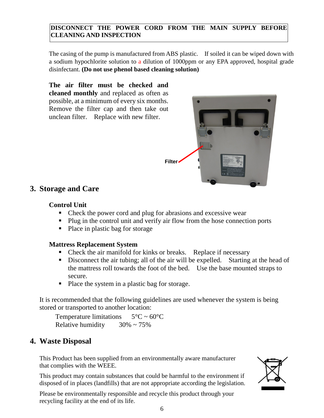#### **DISCONNECT THE POWER CORD FROM THE MAIN SUPPLY BEFORE CLEANING AND INSPECTION**

The casing of the pump is manufactured from ABS plastic. If soiled it can be wiped down with a sodium hypochlorite solution to a dilution of 1000ppm or any EPA approved, hospital grade disinfectant. **(Do not use phenol based cleaning solution)**

**The air filter must be checked and cleaned monthly** and replaced as often as possible, at a minimum of every six months. Remove the filter cap and then take out unclean filter. Replace with new filter.



# **3. Storage and Care**

### **Control Unit**

- Check the power cord and plug for abrasions and excessive wear
- Plug in the control unit and verify air flow from the hose connection ports
- Place in plastic bag for storage

### **Mattress Replacement System**

- Check the air manifold for kinks or breaks. Replace if necessary
- Disconnect the air tubing; all of the air will be expelled. Starting at the head of the mattress roll towards the foot of the bed. Use the base mounted straps to secure.
- Place the system in a plastic bag for storage.

It is recommended that the following guidelines are used whenever the system is being stored or transported to another location:

Temperature limitations  $5^{\circ}$ C ~ 60 $^{\circ}$ C Relative humidity  $30\% \sim 75\%$ 

# **4. Waste Disposal**

This Product has been supplied from an environmentally aware manufacturer that complies with the WEEE.

This product may contain substances that could be harmful to the environment if disposed of in places (landfills) that are not appropriate according the legislation.

Please be environmentally responsible and recycle this product through your recycling facility at the end of its life.

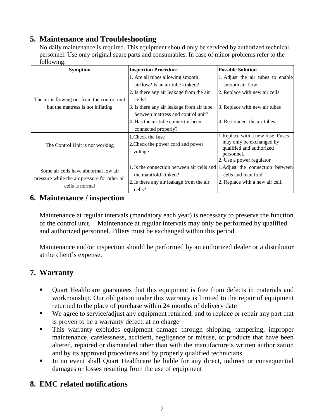# **5. Maintenance and Troubleshooting**

No daily maintenance is required. This equipment should only be serviced by authorized technical personnel. Use only original spare parts and consumables. In case of minor problems refer to the following:

| <b>Symptom</b>                                                                                           | <b>Inspection Procedure</b>                                                                                                                                                                                                                        | <b>Possible Solution</b>                                                                                                                                |
|----------------------------------------------------------------------------------------------------------|----------------------------------------------------------------------------------------------------------------------------------------------------------------------------------------------------------------------------------------------------|---------------------------------------------------------------------------------------------------------------------------------------------------------|
| The air is flowing out from the control unit<br>but the mattress is not inflating                        | 1. Are all tubes allowing smooth<br>airflow? Is an air tube kinked?<br>2. Is there any air leakage from the air<br>cells?<br>3. Is there any air leakage from air tube<br>between mattress and control unit?<br>4. Has the air tube connector been | 1. Adjust the air tubes to enable<br>smooth air flow.<br>2. Replace with new air cells<br>3. Replace with new air tubes<br>4. Re-connect the air tubes. |
| The Control Unit is not working                                                                          | connected properly?<br>1. Check the fuse<br>2. Check the power cord and power<br>voltage                                                                                                                                                           | 1. Replace with a new fuse. Fuses<br>may only be exchanged by<br>qualified and authorized<br>personnel.<br>2. Use a power regulator                     |
| Some air cells have abnormal low air<br>pressure while the air pressure for other air<br>cells is normal | 1. Is the connection between air cells and<br>the manifold kinked?<br>2. Is there any air leakage from the air<br>cells?                                                                                                                           | 1. Adjust the connection between<br>cells and manifold<br>2. Replace with a new air cell.                                                               |

### **6. Maintenance / inspection**

Maintenance at regular intervals (mandatory each year) is necessary to preserve the function of the control unit. Maintenance at regular intervals may only be performed by qualified and authorized personnel. Filters must be exchanged within this period.

Maintenance and/or inspection should be performed by an authorized dealer or a distributor at the client's expense.

# **7. Warranty**

- Quart Healthcare guarantees that this equipment is free from defects in materials and workmanship. Our obligation under this warranty is limited to the repair of equipment returned to the place of purchase within 24 months of delivery date
- We agree to service/adjust any equipment returned, and to replace or repair any part that is proven to be a warranty defect, at no charge
- This warranty excludes equipment damage through shipping, tampering, improper maintenance, carelessness, accident, negligence or misuse, or products that have been altered, repaired or dismantled other than with the manufacture's written authorization and by its approved procedures and by properly qualified technicians
- In no event shall Quart Healthcare be liable for any direct, indirect or consequential damages or losses resulting from the use of equipment

# **8. EMC related notifications**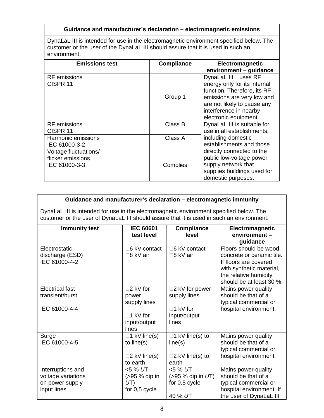#### **Guidance and manufacturer's declaration – electromagnetic emissions**

DynaLaL III is intended for use in the electromagnetic environment specified below. The customer or the user of the DynaLaL III should assure that it is used in such an environment.

| <b>Emissions test</b> | <b>Compliance</b> | Electromagnetic              |
|-----------------------|-------------------|------------------------------|
|                       |                   | environment - guidance       |
| RF emissions          |                   | DynaLaL III uses RF          |
| CISPR <sub>11</sub>   |                   | energy only for its internal |
|                       |                   | function. Therefore, its RF  |
|                       | Group 1           | emissions are very low and   |
|                       |                   | are not likely to cause any  |
|                       |                   | interference in nearby       |
|                       |                   | electronic equipment.        |
| <b>RF</b> emissions   | Class B           | DynaLaL III is suitable for  |
| CISPR 11              |                   | use in all establishments,   |
| Harmonic emissions    | Class A           | including domestic           |
| IEC 61000-3-2         |                   | establishments and those     |
| Voltage fluctuations/ |                   | directly connected to the    |
| flicker emissions     |                   | public low-voltage power     |
| IEC 61000-3-3         | Complies          | supply network that          |
|                       |                   | supplies buildings used for  |
|                       |                   | domestic purposes.           |

| Guidance and manufacturer's declaration - electromagnetic immunity                                                                                                                   |                                                                         |                                                                         |                                                                                                                                                               |  |
|--------------------------------------------------------------------------------------------------------------------------------------------------------------------------------------|-------------------------------------------------------------------------|-------------------------------------------------------------------------|---------------------------------------------------------------------------------------------------------------------------------------------------------------|--|
| DynaLaL III is intended for use in the electromagnetic environment specified below. The<br>customer or the user of DynaLaL III should assure that it is used in such an environment. |                                                                         |                                                                         |                                                                                                                                                               |  |
| <b>Immunity test</b>                                                                                                                                                                 | <b>IEC 60601</b><br>test level                                          | <b>Compliance</b><br>level                                              | Electromagnetic<br>environment-<br>guidance                                                                                                                   |  |
| Electrostatic<br>discharge (ESD)<br>IEC 61000-4-2                                                                                                                                    | □6 kV contact<br>□8 kV air                                              | □6 kV contact<br>□8 kV air                                              | Floors should be wood,<br>concrete or ceramic tile.<br>If floors are covered<br>with synthetic material,<br>the relative humidity<br>should be at least 30 %. |  |
| <b>Electrical fast</b><br>transient/burst                                                                                                                                            | □2 kV for<br>power<br>supply lines                                      | □2 kV for power<br>supply lines                                         | Mains power quality<br>should be that of a<br>typical commercial or                                                                                           |  |
| IEC 61000-4-4                                                                                                                                                                        | $\Box$ 1 kV for<br>input/output<br>lines                                | $\square$ 1 kV for<br>input/output<br>lines                             | hospital environment.                                                                                                                                         |  |
| Surge<br>IEC 61000-4-5                                                                                                                                                               | $\Box$ 1 kV line(s)<br>to line(s)<br>$\square$ 2 kV line(s)<br>to earth | $\Box$ 1 kV line(s) to<br>line(s)<br>$\square$ 2 kV line(s) to<br>earth | Mains power quality<br>should be that of a<br>typical commercial or<br>hospital environment.                                                                  |  |
| Interruptions and<br>voltage variations<br>on power supply<br>input lines                                                                                                            | <5 % UT<br>(>95 % dip in<br>UT)<br>for 0,5 cycle                        | <5 % UT<br>$(>95%$ dip in $UT)$<br>for 0,5 cycle<br>40 % UT             | Mains power quality<br>should be that of a<br>typical commercial or<br>hospital environment. If<br>the user of DynaLaL III                                    |  |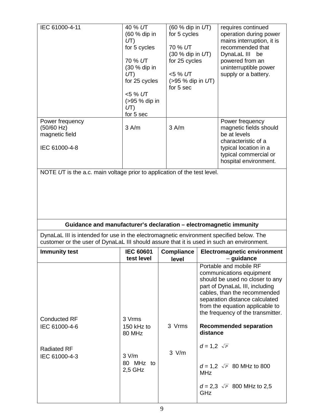| IEC 61000-4-11                                                                                                                                                                       | 40 % UT<br>(60 % dip in<br>UT)<br>for 5 cycles<br>70 % UT<br>(30 % dip in<br>UT)<br>for 25 cycles<br><5 % UT<br>(>95 % dip in<br>UT)<br>for 5 sec | $(60 %$ dip in $UT)$<br>for 5 cycles<br>70 % UT<br>$(30 %$ dip in $UT)$<br>for 25 cycles<br><5 % UT<br>$(>95%$ dip in $UT)$<br>for 5 sec | requires continued<br>operation during power<br>mains interruption, it is<br>recommended that<br>DynaLaL III<br>be<br>powered from an<br>uninterruptible power<br>supply or a battery.                                                                            |  |  |
|--------------------------------------------------------------------------------------------------------------------------------------------------------------------------------------|---------------------------------------------------------------------------------------------------------------------------------------------------|------------------------------------------------------------------------------------------------------------------------------------------|-------------------------------------------------------------------------------------------------------------------------------------------------------------------------------------------------------------------------------------------------------------------|--|--|
| Power frequency<br>(50/60 Hz)<br>magnetic field<br>IEC 61000-4-8                                                                                                                     | 3 A/m                                                                                                                                             | 3 A/m                                                                                                                                    | Power frequency<br>magnetic fields should<br>be at levels<br>characteristic of a<br>typical location in a<br>typical commercial or<br>hospital environment.                                                                                                       |  |  |
| NOTE UT is the a.c. main voltage prior to application of the test level.                                                                                                             |                                                                                                                                                   |                                                                                                                                          |                                                                                                                                                                                                                                                                   |  |  |
|                                                                                                                                                                                      |                                                                                                                                                   |                                                                                                                                          |                                                                                                                                                                                                                                                                   |  |  |
|                                                                                                                                                                                      |                                                                                                                                                   |                                                                                                                                          | Guidance and manufacturer's declaration - electromagnetic immunity                                                                                                                                                                                                |  |  |
| DynaLaL III is intended for use in the electromagnetic environment specified below. The<br>customer or the user of DynaLaL III should assure that it is used in such an environment. |                                                                                                                                                   |                                                                                                                                          |                                                                                                                                                                                                                                                                   |  |  |
| <b>Immunity test</b>                                                                                                                                                                 | <b>IEC 60601</b><br>test level                                                                                                                    | <b>Compliance</b><br>level                                                                                                               | <b>Electromagnetic environment</b><br>- guidance                                                                                                                                                                                                                  |  |  |
| <b>Conducted RF</b>                                                                                                                                                                  | 3 Vrms                                                                                                                                            |                                                                                                                                          | Portable and mobile RF<br>communications equipment<br>should be used no closer to any<br>part of DynaLaL III, including<br>cables, than the recommended<br>separation distance calculated<br>from the equation applicable to<br>the frequency of the transmitter. |  |  |
| IEC 61000-4-6                                                                                                                                                                        | 150 kHz to<br>80 MHz                                                                                                                              | 3 Vrms                                                                                                                                   | <b>Recommended separation</b><br>distance                                                                                                                                                                                                                         |  |  |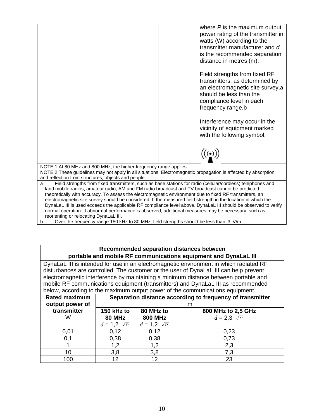|                                                                                                                                                                                                                                                                                                                                                                     |  | where $P$ is the maximum output<br>power rating of the transmitter in<br>watts (W) according to the<br>transmitter manufacturer and d<br>is the recommended separation<br>distance in metres (m).<br>Field strengths from fixed RF<br>transmitters, as determined by<br>an electromagnetic site survey, a<br>should be less than the<br>compliance level in each<br>frequency range.b<br>Interference may occur in the<br>vicinity of equipment marked<br>with the following symbol:<br>$\big((\boldsymbol{\cdot})\big)$ |
|---------------------------------------------------------------------------------------------------------------------------------------------------------------------------------------------------------------------------------------------------------------------------------------------------------------------------------------------------------------------|--|--------------------------------------------------------------------------------------------------------------------------------------------------------------------------------------------------------------------------------------------------------------------------------------------------------------------------------------------------------------------------------------------------------------------------------------------------------------------------------------------------------------------------|
|                                                                                                                                                                                                                                                                                                                                                                     |  |                                                                                                                                                                                                                                                                                                                                                                                                                                                                                                                          |
| NOTE 1 At 80 MHz and 800 MHz, the higher frequency range applies.<br>NOTE 2 These guidelines may not apply in all situations. Electromagnetic propagation is affected by absorption<br>and reflection from structures, objects and people.                                                                                                                          |  |                                                                                                                                                                                                                                                                                                                                                                                                                                                                                                                          |
| a<br>land mobile radios, amateur radio, AM and FM radio broadcast and TV broadcast cannot be predicted<br>theoretically with accuracy. To assess the electromagnetic environment due to fixed RF transmitters, an<br>normal operation. If abnormal performance is observed, additional measures may be necessary, such as<br>reorienting or relocating DynaLaL III. |  | Field strengths from fixed transmitters, such as base stations for radio (cellular/cordless) telephones and<br>electromagnetic site survey should be considered. If the measured field strength in the location in which the<br>DynaLaL III is used exceeds the applicable RF compliance level above, DynaLaL III should be observed to verify                                                                                                                                                                           |

#### **Recommended separation distances between portable and mobile RF communications equipment and DynaLaL III**

DynaLaL III is intended for use in an electromagnetic environment in which radiated RF disturbances are controlled. The customer or the user of DynaLaL III can help prevent electromagnetic interference by maintaining a minimum distance between portable and mobile RF communications equipment (transmitters) and DynaLaL III as recommended below, according to the maximum output power of the communications equipment.

| <b>Rated maximum</b><br>output power of | Separation distance according to frequency of transmitter<br>m |                                                                       |      |  |  |
|-----------------------------------------|----------------------------------------------------------------|-----------------------------------------------------------------------|------|--|--|
| transmitter<br>W                        | 150 kHz to<br><b>80 MHz</b>                                    | 80 MHz to<br>800 MHz to 2,5 GHz<br><b>800 MHz</b><br>$d=2,3 \sqrt{P}$ |      |  |  |
|                                         | $d = 1,2 \sqrt{P}$                                             | $d = 1,2 \sqrt{P}$                                                    |      |  |  |
| 0,01                                    | 0,12                                                           | 0,12                                                                  | 0,23 |  |  |
| 0,1                                     | 0,38                                                           | 0,38                                                                  | 0,73 |  |  |
|                                         | 1.2                                                            | 1.2                                                                   | 2,3  |  |  |
| 10                                      | 3,8                                                            | 3,8                                                                   | 7,3  |  |  |
| 100                                     | 12                                                             | 12                                                                    | 23   |  |  |